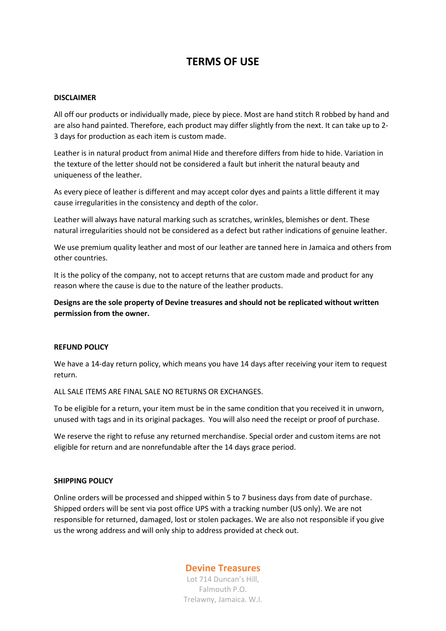# **TERMS OF USE**

#### **DISCLAIMER**

All off our products or individually made, piece by piece. Most are hand stitch R robbed by hand and are also hand painted. Therefore, each product may differ slightly from the next. It can take up to 2- 3 days for production as each item is custom made.

Leather is in natural product from animal Hide and therefore differs from hide to hide. Variation in the texture of the letter should not be considered a fault but inherit the natural beauty and uniqueness of the leather.

As every piece of leather is different and may accept color dyes and paints a little different it may cause irregularities in the consistency and depth of the color.

Leather will always have natural marking such as scratches, wrinkles, blemishes or dent. These natural irregularities should not be considered as a defect but rather indications of genuine leather.

We use premium quality leather and most of our leather are tanned here in Jamaica and others from other countries.

It is the policy of the company, not to accept returns that are custom made and product for any reason where the cause is due to the nature of the leather products.

**Designs are the sole property of Devine treasures and should not be replicated without written permission from the owner.**

#### **REFUND POLICY**

We have a 14-day return policy, which means you have 14 days after receiving your item to request return.

ALL SALE ITEMS ARE FINAL SALE NO RETURNS OR EXCHANGES.

To be eligible for a return, your item must be in the same condition that you received it in unworn, unused with tags and in its original packages. You will also need the receipt or proof of purchase.

We reserve the right to refuse any returned merchandise. Special order and custom items are not eligible for return and are nonrefundable after the 14 days grace period.

#### **SHIPPING POLICY**

Online orders will be processed and shipped within 5 to 7 business days from date of purchase. Shipped orders will be sent via post office UPS with a tracking number (US only). We are not responsible for returned, damaged, lost or stolen packages. We are also not responsible if you give us the wrong address and will only ship to address provided at check out.

## **Devine Treasures**

Lot 714 Duncan's Hill, Falmouth P.O. Trelawny, Jamaica. W.I.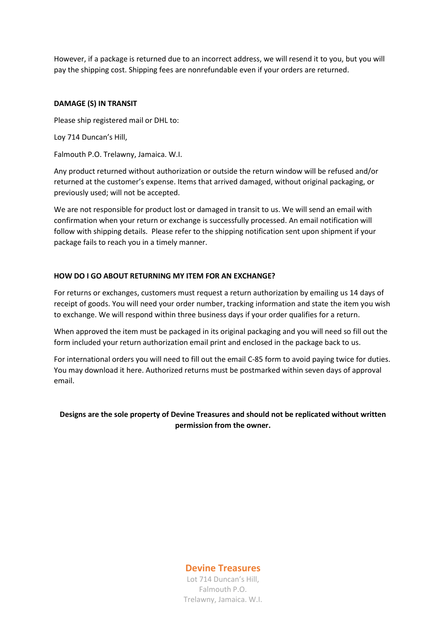However, if a package is returned due to an incorrect address, we will resend it to you, but you will pay the shipping cost. Shipping fees are nonrefundable even if your orders are returned.

#### **DAMAGE (S) IN TRANSIT**

Please ship registered mail or DHL to:

Loy 714 Duncan's Hill,

Falmouth P.O. Trelawny, Jamaica. W.I.

Any product returned without authorization or outside the return window will be refused and/or returned at the customer's expense. Items that arrived damaged, without original packaging, or previously used; will not be accepted.

We are not responsible for product lost or damaged in transit to us. We will send an email with confirmation when your return or exchange is successfully processed. An email notification will follow with shipping details. Please refer to the shipping notification sent upon shipment if your package fails to reach you in a timely manner.

#### **HOW DO I GO ABOUT RETURNING MY ITEM FOR AN EXCHANGE?**

For returns or exchanges, customers must request a return authorization by emailing us 14 days of receipt of goods. You will need your order number, tracking information and state the item you wish to exchange. We will respond within three business days if your order qualifies for a return.

When approved the item must be packaged in its original packaging and you will need so fill out the form included your return authorization email print and enclosed in the package back to us.

For international orders you will need to fill out the email C-85 form to avoid paying twice for duties. You may download it here. Authorized returns must be postmarked within seven days of approval email.

## **Designs are the sole property of Devine Treasures and should not be replicated without written permission from the owner.**

**Devine Treasures**

Lot 714 Duncan's Hill, Falmouth P.O. Trelawny, Jamaica. W.I.